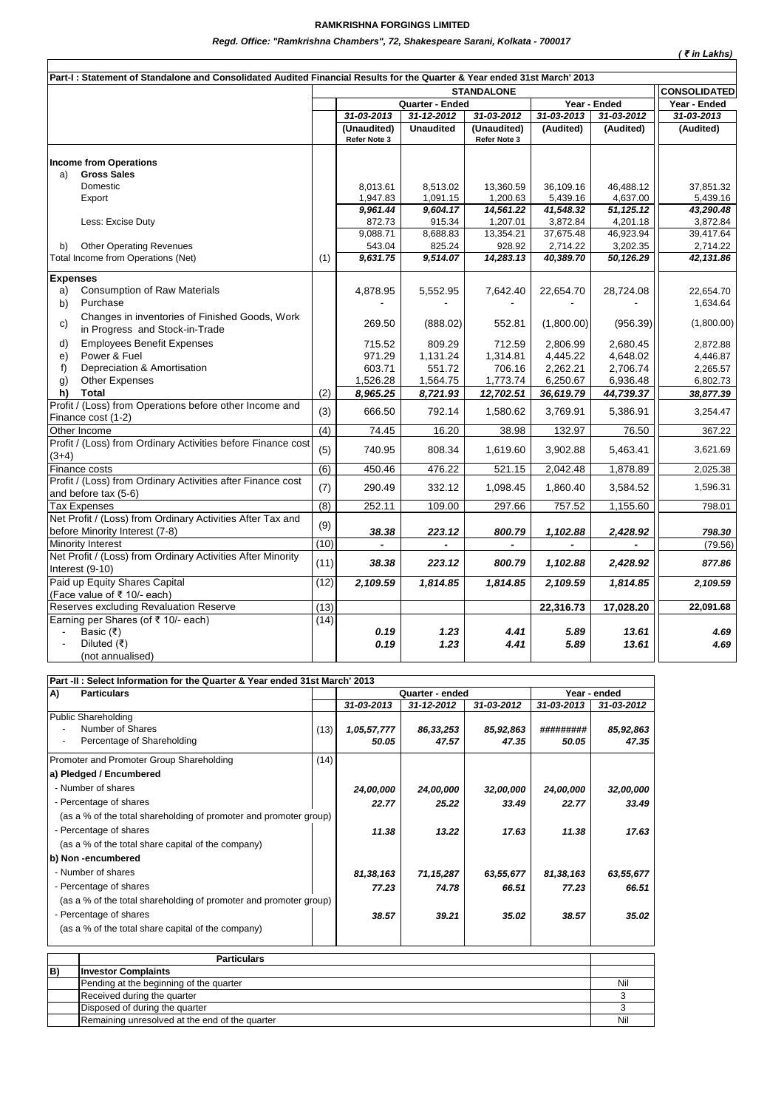## **RAMKRISHNA FORGINGS LIMITED**

*Regd. Office: "Ramkrishna Chambers", 72, Shakespeare Sarani, Kolkata - 700017*

| Regd. Office: "Ramkrishna Chambers", 72, Shakespeare Sarani, Kolkata - 700017<br>( ₹ in Lakhs)                           |                  |                                                      |                  |                             |            |            |                                     |  |  |  |  |  |
|--------------------------------------------------------------------------------------------------------------------------|------------------|------------------------------------------------------|------------------|-----------------------------|------------|------------|-------------------------------------|--|--|--|--|--|
| Part-I: Statement of Standalone and Consolidated Audited Financial Results for the Quarter & Year ended 31st March' 2013 |                  |                                                      |                  |                             |            |            |                                     |  |  |  |  |  |
|                                                                                                                          |                  |                                                      |                  |                             |            |            |                                     |  |  |  |  |  |
|                                                                                                                          |                  | <b>STANDALONE</b><br>Quarter - Ended<br>Year - Ended |                  |                             |            |            | <b>CONSOLIDATED</b><br>Year - Ended |  |  |  |  |  |
|                                                                                                                          |                  | $31 - 03 - 2013$                                     | 31-12-2012       | 31-03-2012                  | 31-03-2013 | 31-03-2012 | 31-03-2013                          |  |  |  |  |  |
|                                                                                                                          |                  | (Unaudited)<br>Refer Note 3                          | <b>Unaudited</b> | (Unaudited)<br>Refer Note 3 | (Audited)  | (Audited)  | (Audited)                           |  |  |  |  |  |
| <b>Income from Operations</b>                                                                                            |                  |                                                      |                  |                             |            |            |                                     |  |  |  |  |  |
| <b>Gross Sales</b><br>a)                                                                                                 |                  |                                                      |                  |                             |            |            |                                     |  |  |  |  |  |
| Domestic                                                                                                                 |                  | 8,013.61                                             | 8,513.02         | 13,360.59                   | 36,109.16  | 46.488.12  | 37,851.32                           |  |  |  |  |  |
| Export                                                                                                                   |                  | 1,947.83                                             | 1,091.15         | 1,200.63                    | 5,439.16   | 4,637.00   | 5,439.16                            |  |  |  |  |  |
|                                                                                                                          |                  | 9,961.44                                             | 9,604.17         | 14,561.22                   | 41,548.32  | 51,125.12  | 43,290.48                           |  |  |  |  |  |
| Less: Excise Duty                                                                                                        |                  | 872.73                                               | 915.34           | 1,207.01                    | 3,872.84   | 4,201.18   | 3,872.84                            |  |  |  |  |  |
|                                                                                                                          |                  | 9,088.71                                             | 8,688.83         | 13,354.21                   | 37,675.48  | 46,923.94  | 39,417.64                           |  |  |  |  |  |
| <b>Other Operating Revenues</b><br>b)                                                                                    |                  | 543.04                                               | 825.24           | 928.92                      | 2,714.22   | 3,202.35   | 2,714.22                            |  |  |  |  |  |
| Total Income from Operations (Net)                                                                                       | (1)              | 9,631.75                                             | 9,514.07         | 14,283.13                   | 40,389.70  | 50,126.29  | 42,131.86                           |  |  |  |  |  |
| <b>Expenses</b>                                                                                                          |                  |                                                      |                  |                             |            |            |                                     |  |  |  |  |  |
| <b>Consumption of Raw Materials</b><br>a)                                                                                |                  | 4,878.95                                             | 5,552.95         | 7,642.40                    | 22,654.70  | 28,724.08  | 22,654.70                           |  |  |  |  |  |
| Purchase<br>b)                                                                                                           |                  |                                                      |                  |                             |            |            | 1,634.64                            |  |  |  |  |  |
| Changes in inventories of Finished Goods, Work                                                                           |                  |                                                      |                  |                             |            |            |                                     |  |  |  |  |  |
| c)<br>in Progress and Stock-in-Trade                                                                                     |                  | 269.50                                               | (888.02)         | 552.81                      | (1,800.00) | (956.39)   | (1,800.00)                          |  |  |  |  |  |
| d)<br><b>Employees Benefit Expenses</b>                                                                                  |                  | 715.52                                               | 809.29           | 712.59                      | 2.806.99   | 2.680.45   | 2,872.88                            |  |  |  |  |  |
| Power & Fuel<br>e)                                                                                                       |                  | 971.29                                               | 1,131.24         | 1,314.81                    | 4.445.22   | 4.648.02   | 4,446.87                            |  |  |  |  |  |
| Depreciation & Amortisation<br>f)                                                                                        |                  | 603.71                                               | 551.72           | 706.16                      | 2,262.21   | 2,706.74   | 2,265.57                            |  |  |  |  |  |
| <b>Other Expenses</b><br>$\mathfrak{g}$                                                                                  |                  | 1,526.28                                             | 1,564.75         | 1,773.74                    | 6,250.67   | 6,936.48   | 6,802.73                            |  |  |  |  |  |
| <b>Total</b><br>h)                                                                                                       | (2)              | 8,965.25                                             | 8,721.93         | 12,702.51                   | 36,619.79  | 44,739.37  | 38,877.39                           |  |  |  |  |  |
| Profit / (Loss) from Operations before other Income and                                                                  |                  |                                                      |                  |                             |            |            |                                     |  |  |  |  |  |
| Finance cost (1-2)                                                                                                       | (3)              | 666.50                                               | 792.14           | 1,580.62                    | 3,769.91   | 5,386.91   | 3,254.47                            |  |  |  |  |  |
| Other Income                                                                                                             | (4)              | 74.45                                                | 16.20            | 38.98                       | 132.97     | 76.50      | 367.22                              |  |  |  |  |  |
| Profit / (Loss) from Ordinary Activities before Finance cost                                                             |                  |                                                      |                  |                             |            |            |                                     |  |  |  |  |  |
| $(3+4)$                                                                                                                  | (5)              | 740.95                                               | 808.34           | 1,619.60                    | 3,902.88   | 5,463.41   | 3,621.69                            |  |  |  |  |  |
| Finance costs                                                                                                            | $\overline{(6)}$ | 450.46                                               | 476.22           | 521.15                      | 2,042.48   | 1,878.89   | 2,025.38                            |  |  |  |  |  |
| Profit / (Loss) from Ordinary Activities after Finance cost<br>and before tax (5-6)                                      | (7)              | 290.49                                               | 332.12           | 1,098.45                    | 1,860.40   | 3,584.52   | 1,596.31                            |  |  |  |  |  |
| <b>Tax Expenses</b>                                                                                                      | (8)              | 252.11                                               | 109.00           | 297.66                      | 757.52     | 1,155.60   | 798.01                              |  |  |  |  |  |
| Net Profit / (Loss) from Ordinary Activities After Tax and                                                               |                  |                                                      |                  |                             |            |            |                                     |  |  |  |  |  |
| before Minority Interest (7-8)                                                                                           | (9)              | 38.38                                                | 223.12           | 800.79                      | 1,102.88   | 2,428.92   | 798.30                              |  |  |  |  |  |
| Minority Interest                                                                                                        | (10)             |                                                      |                  |                             |            |            | (79.56)                             |  |  |  |  |  |
| Net Profit / (Loss) from Ordinary Activities After Minority                                                              |                  |                                                      |                  |                             |            |            |                                     |  |  |  |  |  |
| Interest (9-10)                                                                                                          | (11)             | 38.38                                                | 223.12           | 800.79                      | 1,102.88   | 2,428.92   | 877.86                              |  |  |  |  |  |
| Paid up Equity Shares Capital                                                                                            | (12)             | 2,109.59                                             | 1,814.85         | 1,814.85                    | 2,109.59   | 1,814.85   | 2,109.59                            |  |  |  |  |  |
| (Face value of ₹ 10/- each)                                                                                              |                  |                                                      |                  |                             |            |            |                                     |  |  |  |  |  |
| Reserves excluding Revaluation Reserve                                                                                   | (13)             |                                                      |                  |                             | 22,316.73  | 17,028.20  | 22,091.68                           |  |  |  |  |  |
| Earning per Shares (of ₹ 10/- each)                                                                                      | (14)             |                                                      |                  |                             |            |            |                                     |  |  |  |  |  |
| Basic $(₹)$                                                                                                              |                  | 0.19                                                 | 1.23             | 4.41                        | 5.89       | 13.61      | 4.69                                |  |  |  |  |  |
| Diluted $(₹)$                                                                                                            |                  | 0.19                                                 | 1.23             | 4.41                        | 5.89       | 13.61      | 4.69                                |  |  |  |  |  |
| (not annualised)                                                                                                         |                  |                                                      |                  |                             |            |            |                                     |  |  |  |  |  |

|                                         | Part -II: Select Information for the Quarter & Year ended 31st March' 2013   |      |                      |                    |                    |                    |                    |  |  |
|-----------------------------------------|------------------------------------------------------------------------------|------|----------------------|--------------------|--------------------|--------------------|--------------------|--|--|
| A)                                      | <b>Particulars</b>                                                           |      | Quarter - ended      |                    |                    |                    | Year - ended       |  |  |
|                                         |                                                                              |      | 31-03-2013           | 31-12-2012         | 31-03-2012         | 31-03-2013         | 31-03-2012         |  |  |
|                                         | <b>Public Shareholding</b><br>Number of Shares<br>Percentage of Shareholding | (13) | 1,05,57,777<br>50.05 | 86,33,253<br>47.57 | 85,92,863<br>47.35 | #########<br>50.05 | 85,92,863<br>47.35 |  |  |
|                                         | Promoter and Promoter Group Shareholding                                     | (14) |                      |                    |                    |                    |                    |  |  |
|                                         | a) Pledged / Encumbered                                                      |      |                      |                    |                    |                    |                    |  |  |
|                                         | - Number of shares                                                           |      | 24,00,000            | 24,00,000          | 32,00,000          | 24,00,000          | 32,00,000          |  |  |
|                                         | - Percentage of shares                                                       |      | 22.77                | 25.22              | 33.49              | 22.77              | 33.49              |  |  |
|                                         | (as a % of the total shareholding of promoter and promoter group)            |      |                      |                    |                    |                    |                    |  |  |
|                                         | - Percentage of shares                                                       |      | 11.38                | 13.22              | 17.63              | 11.38              | 17.63              |  |  |
|                                         | (as a % of the total share capital of the company)                           |      |                      |                    |                    |                    |                    |  |  |
|                                         | b) Non -encumbered                                                           |      |                      |                    |                    |                    |                    |  |  |
|                                         | - Number of shares                                                           |      | 81,38,163            | 71,15,287          | 63,55,677          | 81,38,163          | 63,55,677          |  |  |
|                                         | - Percentage of shares                                                       |      | 77.23                | 74.78              | 66.51              | 77.23              | 66.51              |  |  |
|                                         | (as a % of the total shareholding of promoter and promoter group)            |      |                      |                    |                    |                    |                    |  |  |
|                                         | - Percentage of shares                                                       |      | 38.57                | 39.21              | 35.02              | 38.57              | 35.02              |  |  |
|                                         | (as a % of the total share capital of the company)                           |      |                      |                    |                    |                    |                    |  |  |
|                                         | <b>Particulars</b>                                                           |      |                      |                    |                    |                    |                    |  |  |
| B)                                      | <b>Investor Complaints</b>                                                   |      |                      |                    |                    |                    |                    |  |  |
| Pending at the beginning of the quarter |                                                                              |      |                      |                    |                    |                    |                    |  |  |
| Received during the quarter             |                                                                              |      |                      |                    |                    |                    |                    |  |  |
|                                         | Disposed of during the quarter                                               |      |                      |                    |                    |                    | 3                  |  |  |
|                                         | Remaining unresolved at the end of the quarter                               |      |                      |                    |                    |                    | Nil                |  |  |